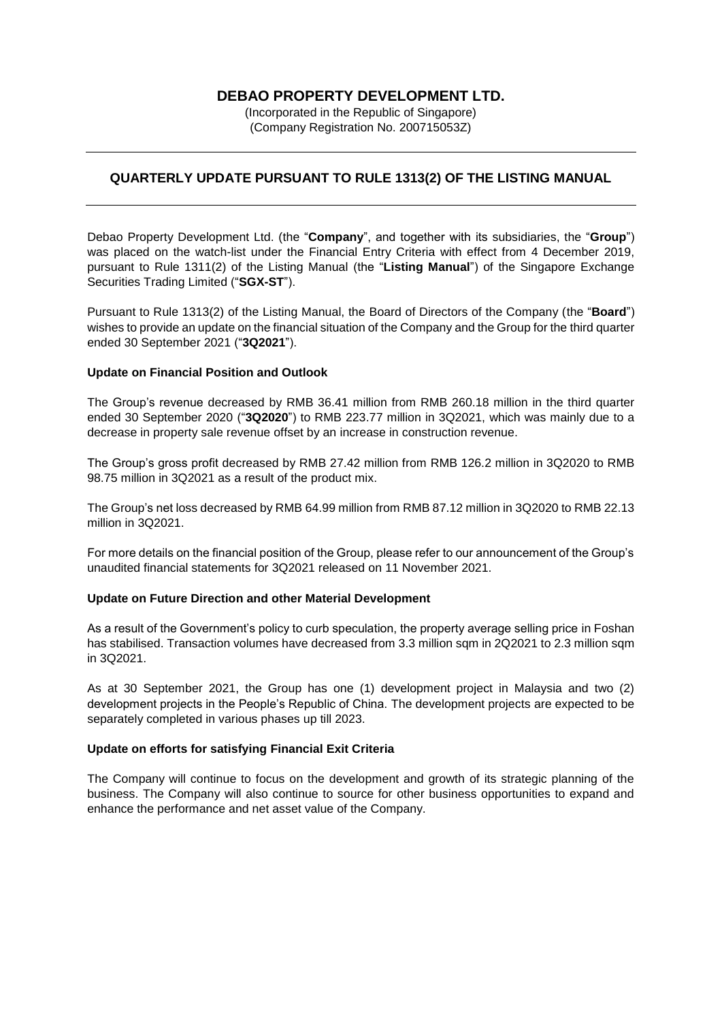# **DEBAO PROPERTY DEVELOPMENT LTD.**

(Incorporated in the Republic of Singapore) (Company Registration No. 200715053Z)

## **QUARTERLY UPDATE PURSUANT TO RULE 1313(2) OF THE LISTING MANUAL**

Debao Property Development Ltd. (the "**Company**", and together with its subsidiaries, the "**Group**") was placed on the watch-list under the Financial Entry Criteria with effect from 4 December 2019, pursuant to Rule 1311(2) of the Listing Manual (the "**Listing Manual**") of the Singapore Exchange Securities Trading Limited ("**SGX-ST**").

Pursuant to Rule 1313(2) of the Listing Manual, the Board of Directors of the Company (the "**Board**") wishes to provide an update on the financial situation of the Company and the Group for the third quarter ended 30 September 2021 ("**3Q2021**").

#### **Update on Financial Position and Outlook**

The Group's revenue decreased by RMB 36.41 million from RMB 260.18 million in the third quarter ended 30 September 2020 ("**3Q2020**") to RMB 223.77 million in 3Q2021, which was mainly due to a decrease in property sale revenue offset by an increase in construction revenue.

The Group's gross profit decreased by RMB 27.42 million from RMB 126.2 million in 3Q2020 to RMB 98.75 million in 3Q2021 as a result of the product mix.

The Group's net loss decreased by RMB 64.99 million from RMB 87.12 million in 3Q2020 to RMB 22.13 million in 3Q2021.

For more details on the financial position of the Group, please refer to our announcement of the Group's unaudited financial statements for 3Q2021 released on 11 November 2021.

#### **Update on Future Direction and other Material Development**

As a result of the Government's policy to curb speculation, the property average selling price in Foshan has stabilised. Transaction volumes have decreased from 3.3 million sqm in 2Q2021 to 2.3 million sqm in 3Q2021.

As at 30 September 2021, the Group has one (1) development project in Malaysia and two (2) development projects in the People's Republic of China. The development projects are expected to be separately completed in various phases up till 2023.

### **Update on efforts for satisfying Financial Exit Criteria**

The Company will continue to focus on the development and growth of its strategic planning of the business. The Company will also continue to source for other business opportunities to expand and enhance the performance and net asset value of the Company.